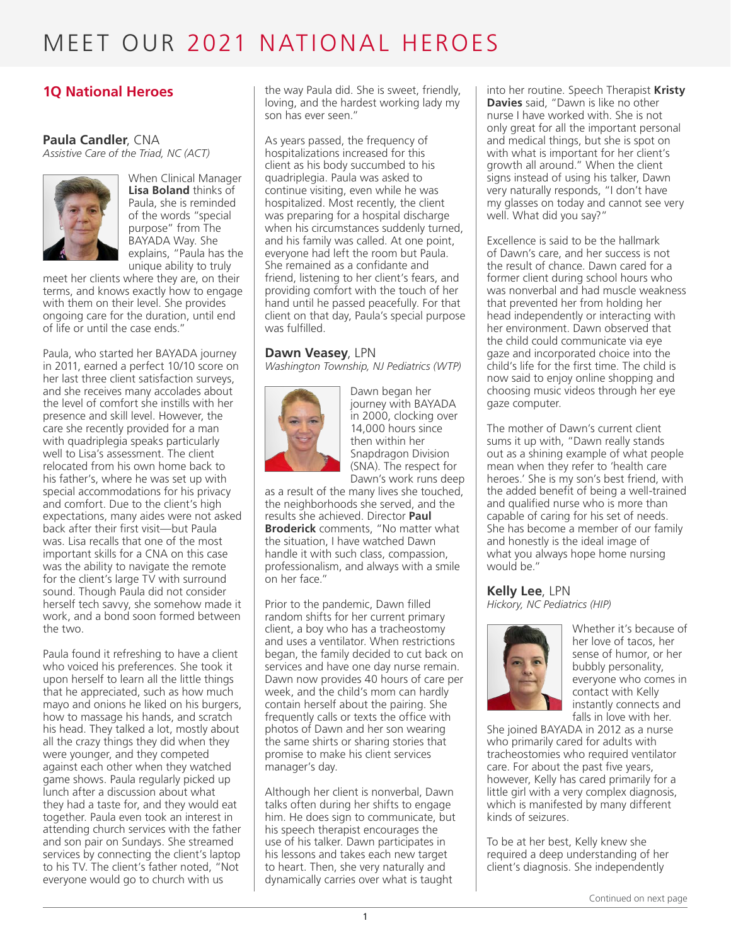### **1Q National Heroes**

### **Paula Candler**, CNA

*Assistive Care of the Triad, NC (ACT)*



When Clinical Manager **Lisa Boland** thinks of Paula, she is reminded of the words "special purpose" from The BAYADA Way. She explains, "Paula has the unique ability to truly

meet her clients where they are, on their terms, and knows exactly how to engage with them on their level. She provides ongoing care for the duration, until end of life or until the case ends."

Paula, who started her BAYADA journey in 2011, earned a perfect 10/10 score on her last three client satisfaction surveys, and she receives many accolades about the level of comfort she instills with her presence and skill level. However, the care she recently provided for a man with quadriplegia speaks particularly well to Lisa's assessment. The client relocated from his own home back to his father's, where he was set up with special accommodations for his privacy and comfort. Due to the client's high expectations, many aides were not asked back after their first visit—but Paula was. Lisa recalls that one of the most important skills for a CNA on this case was the ability to navigate the remote for the client's large TV with surround sound. Though Paula did not consider herself tech savvy, she somehow made it work, and a bond soon formed between the two.

Paula found it refreshing to have a client who voiced his preferences. She took it upon herself to learn all the little things that he appreciated, such as how much mayo and onions he liked on his burgers, how to massage his hands, and scratch his head. They talked a lot, mostly about all the crazy things they did when they were younger, and they competed against each other when they watched game shows. Paula regularly picked up lunch after a discussion about what they had a taste for, and they would eat together. Paula even took an interest in attending church services with the father and son pair on Sundays. She streamed services by connecting the client's laptop to his TV. The client's father noted, "Not everyone would go to church with us

the way Paula did. She is sweet, friendly, loving, and the hardest working lady my son has ever seen."

As years passed, the frequency of hospitalizations increased for this client as his body succumbed to his quadriplegia. Paula was asked to continue visiting, even while he was hospitalized. Most recently, the client was preparing for a hospital discharge when his circumstances suddenly turned, and his family was called. At one point, everyone had left the room but Paula. She remained as a confidante and friend, listening to her client's fears, and providing comfort with the touch of her hand until he passed peacefully. For that client on that day, Paula's special purpose was fulfilled.

#### **Dawn Veasey**, LPN

*Washington Township, NJ Pediatrics (WTP)*



Dawn began her journey with BAYADA in 2000, clocking over 14,000 hours since then within her Snapdragon Division (SNA). The respect for Dawn's work runs deep

as a result of the many lives she touched, the neighborhoods she served, and the results she achieved. Director **Paul Broderick** comments, "No matter what the situation, I have watched Dawn handle it with such class, compassion, professionalism, and always with a smile on her face."

Prior to the pandemic, Dawn filled random shifts for her current primary client, a boy who has a tracheostomy and uses a ventilator. When restrictions began, the family decided to cut back on services and have one day nurse remain. Dawn now provides 40 hours of care per week, and the child's mom can hardly contain herself about the pairing. She frequently calls or texts the office with photos of Dawn and her son wearing the same shirts or sharing stories that promise to make his client services manager's day.

Although her client is nonverbal, Dawn talks often during her shifts to engage him. He does sign to communicate, but his speech therapist encourages the use of his talker. Dawn participates in his lessons and takes each new target to heart. Then, she very naturally and dynamically carries over what is taught

into her routine. Speech Therapist **Kristy Davies** said, "Dawn is like no other nurse I have worked with. She is not only great for all the important personal and medical things, but she is spot on with what is important for her client's growth all around." When the client signs instead of using his talker, Dawn very naturally responds, "I don't have my glasses on today and cannot see very well. What did you say?"

Excellence is said to be the hallmark of Dawn's care, and her success is not the result of chance. Dawn cared for a former client during school hours who was nonverbal and had muscle weakness that prevented her from holding her head independently or interacting with her environment. Dawn observed that the child could communicate via eye gaze and incorporated choice into the child's life for the first time. The child is now said to enjoy online shopping and choosing music videos through her eye gaze computer.

The mother of Dawn's current client sums it up with, "Dawn really stands out as a shining example of what people mean when they refer to 'health care heroes.' She is my son's best friend, with the added benefit of being a well-trained and qualified nurse who is more than capable of caring for his set of needs. She has become a member of our family and honestly is the ideal image of what you always hope home nursing would be."

**Kelly Lee**, LPN *Hickory, NC Pediatrics (HIP)*



Whether it's because of her love of tacos, her sense of humor, or her bubbly personality, everyone who comes in contact with Kelly instantly connects and falls in love with her.

She joined BAYADA in 2012 as a nurse who primarily cared for adults with tracheostomies who required ventilator care. For about the past five years, however, Kelly has cared primarily for a little girl with a very complex diagnosis, which is manifested by many different kinds of seizures.

To be at her best, Kelly knew she required a deep understanding of her client's diagnosis. She independently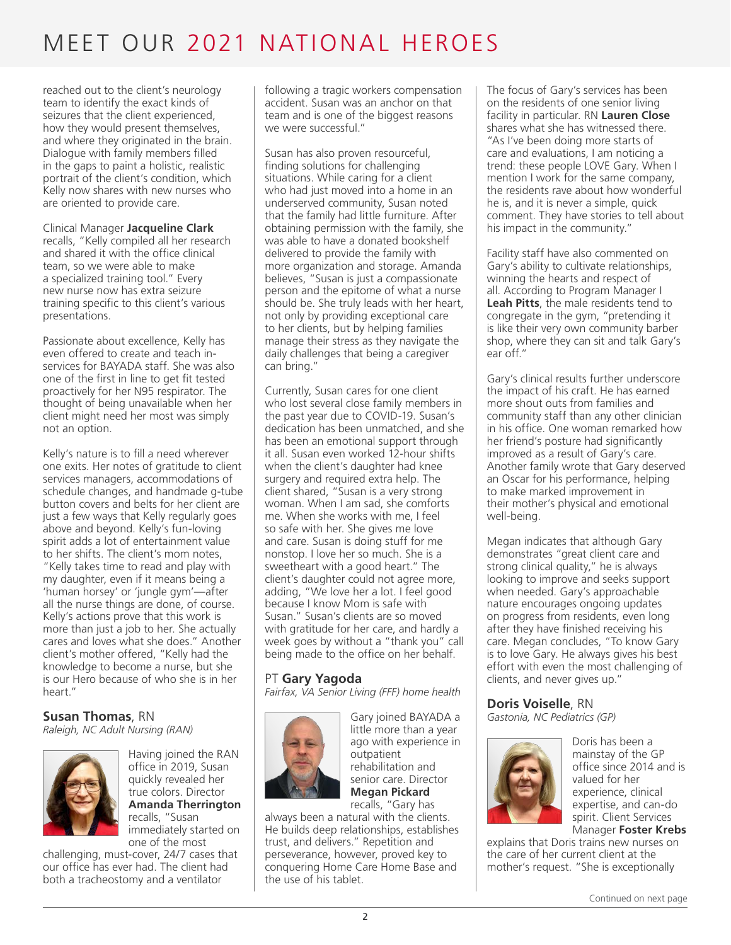reached out to the client's neurology team to identify the exact kinds of seizures that the client experienced, how they would present themselves, and where they originated in the brain. Dialogue with family members filled in the gaps to paint a holistic, realistic portrait of the client's condition, which Kelly now shares with new nurses who are oriented to provide care.

Clinical Manager **Jacqueline Clark** recalls, "Kelly compiled all her research and shared it with the office clinical team, so we were able to make a specialized training tool." Every new nurse now has extra seizure training specific to this client's various presentations.

Passionate about excellence, Kelly has even offered to create and teach inservices for BAYADA staff. She was also one of the first in line to get fit tested proactively for her N95 respirator. The thought of being unavailable when her client might need her most was simply not an option.

Kelly's nature is to fill a need wherever one exits. Her notes of gratitude to client services managers, accommodations of schedule changes, and handmade g-tube button covers and belts for her client are just a few ways that Kelly regularly goes above and beyond. Kelly's fun-loving spirit adds a lot of entertainment value to her shifts. The client's mom notes, "Kelly takes time to read and play with my daughter, even if it means being a 'human horsey' or 'jungle gym'—after all the nurse things are done, of course. Kelly's actions prove that this work is more than just a job to her. She actually cares and loves what she does." Another client's mother offered, "Kelly had the knowledge to become a nurse, but she is our Hero because of who she is in her heart."

### **Susan Thomas**, RN

*Raleigh, NC Adult Nursing (RAN)*



Having joined the RAN office in 2019, Susan quickly revealed her true colors. Director **Amanda Therrington** recalls, "Susan immediately started on one of the most

challenging, must-cover, 24/7 cases that our office has ever had. The client had both a tracheostomy and a ventilator

following a tragic workers compensation accident. Susan was an anchor on that team and is one of the biggest reasons we were successful."

Susan has also proven resourceful, finding solutions for challenging situations. While caring for a client who had just moved into a home in an underserved community, Susan noted that the family had little furniture. After obtaining permission with the family, she was able to have a donated bookshelf delivered to provide the family with more organization and storage. Amanda believes, "Susan is just a compassionate person and the epitome of what a nurse should be. She truly leads with her heart, not only by providing exceptional care to her clients, but by helping families manage their stress as they navigate the daily challenges that being a caregiver can bring."

Currently, Susan cares for one client who lost several close family members in the past year due to COVID-19. Susan's dedication has been unmatched, and she has been an emotional support through it all. Susan even worked 12-hour shifts when the client's daughter had knee surgery and required extra help. The client shared, "Susan is a very strong woman. When I am sad, she comforts me. When she works with me, I feel so safe with her. She gives me love and care. Susan is doing stuff for me nonstop. I love her so much. She is a sweetheart with a good heart." The client's daughter could not agree more, adding, "We love her a lot. I feel good because I know Mom is safe with Susan." Susan's clients are so moved with gratitude for her care, and hardly a week goes by without a "thank you" call being made to the office on her behalf.

#### PT **Gary Yagoda**

*Fairfax, VA Senior Living (FFF) home health*



Gary joined BAYADA a little more than a year ago with experience in outpatient rehabilitation and senior care. Director **Megan Pickard** recalls, "Gary has

always been a natural with the clients. He builds deep relationships, establishes trust, and delivers." Repetition and perseverance, however, proved key to conquering Home Care Home Base and the use of his tablet.

The focus of Gary's services has been on the residents of one senior living facility in particular. RN **Lauren Close** shares what she has witnessed there. "As I've been doing more starts of care and evaluations, I am noticing a trend: these people LOVE Gary. When I mention I work for the same company, the residents rave about how wonderful he is, and it is never a simple, quick comment. They have stories to tell about his impact in the community."

Facility staff have also commented on Gary's ability to cultivate relationships, winning the hearts and respect of all. According to Program Manager I **Leah Pitts**, the male residents tend to congregate in the gym, "pretending it is like their very own community barber shop, where they can sit and talk Gary's ear off."

Gary's clinical results further underscore the impact of his craft. He has earned more shout outs from families and community staff than any other clinician in his office. One woman remarked how her friend's posture had significantly improved as a result of Gary's care. Another family wrote that Gary deserved an Oscar for his performance, helping to make marked improvement in their mother's physical and emotional well-being.

Megan indicates that although Gary demonstrates "great client care and strong clinical quality," he is always looking to improve and seeks support when needed. Gary's approachable nature encourages ongoing updates on progress from residents, even long after they have finished receiving his care. Megan concludes, "To know Gary is to love Gary. He always gives his best effort with even the most challenging of clients, and never gives up."

### **Doris Voiselle**, RN

*Gastonia, NC Pediatrics (GP)*



Doris has been a mainstay of the GP office since 2014 and is valued for her experience, clinical expertise, and can-do spirit. Client Services Manager **Foster Krebs**

explains that Doris trains new nurses on the care of her current client at the mother's request. "She is exceptionally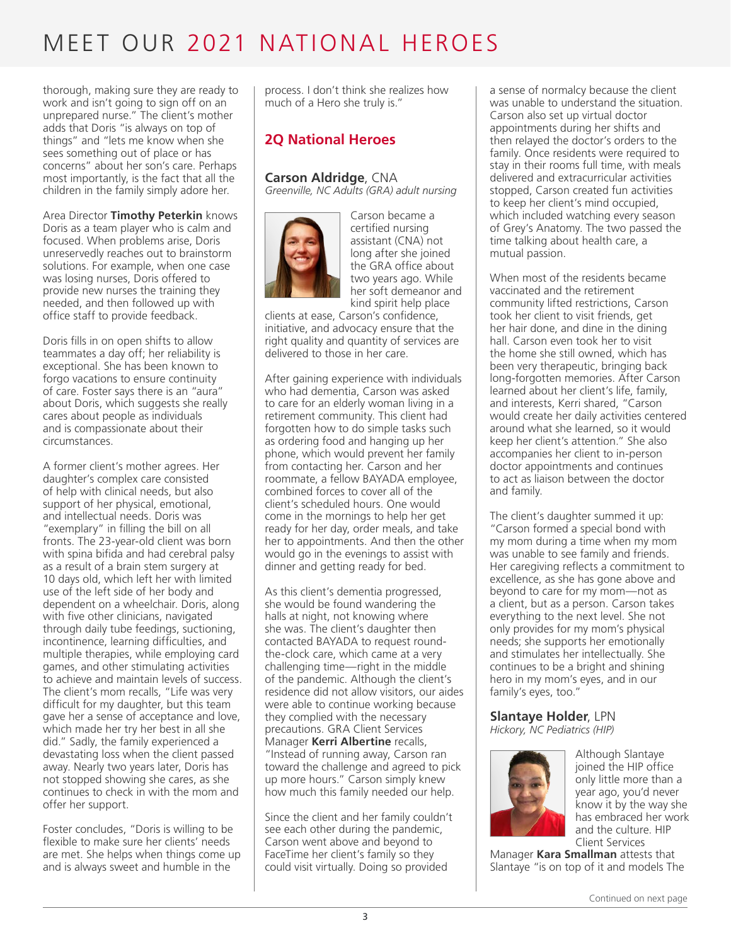thorough, making sure they are ready to work and isn't going to sign off on an unprepared nurse." The client's mother adds that Doris "is always on top of things" and "lets me know when she sees something out of place or has concerns" about her son's care. Perhaps most importantly, is the fact that all the children in the family simply adore her.

Area Director **Timothy Peterkin** knows Doris as a team player who is calm and focused. When problems arise, Doris unreservedly reaches out to brainstorm solutions. For example, when one case was losing nurses, Doris offered to provide new nurses the training they needed, and then followed up with office staff to provide feedback.

Doris fills in on open shifts to allow teammates a day off; her reliability is exceptional. She has been known to forgo vacations to ensure continuity of care. Foster says there is an "aura" about Doris, which suggests she really cares about people as individuals and is compassionate about their circumstances.

A former client's mother agrees. Her daughter's complex care consisted of help with clinical needs, but also support of her physical, emotional, and intellectual needs. Doris was "exemplary" in filling the bill on all fronts. The 23-year-old client was born with spina bifida and had cerebral palsy as a result of a brain stem surgery at 10 days old, which left her with limited use of the left side of her body and dependent on a wheelchair. Doris, along with five other clinicians, navigated through daily tube feedings, suctioning, incontinence, learning difficulties, and multiple therapies, while employing card games, and other stimulating activities to achieve and maintain levels of success. The client's mom recalls, "Life was very difficult for my daughter, but this team gave her a sense of acceptance and love, which made her try her best in all she did." Sadly, the family experienced a devastating loss when the client passed away. Nearly two years later, Doris has not stopped showing she cares, as she continues to check in with the mom and offer her support.

Foster concludes, "Doris is willing to be flexible to make sure her clients' needs are met. She helps when things come up and is always sweet and humble in the

process. I don't think she realizes how much of a Hero she truly is."

### **2Q National Heroes**

#### **Carson Aldridge**, CNA

*Greenville, NC Adults (GRA) adult nursing*



Carson became a certified nursing assistant (CNA) not long after she joined the GRA office about two years ago. While her soft demeanor and kind spirit help place

clients at ease, Carson's confidence, initiative, and advocacy ensure that the right quality and quantity of services are delivered to those in her care.

After gaining experience with individuals who had dementia, Carson was asked to care for an elderly woman living in a retirement community. This client had forgotten how to do simple tasks such as ordering food and hanging up her phone, which would prevent her family from contacting her. Carson and her roommate, a fellow BAYADA employee, combined forces to cover all of the client's scheduled hours. One would come in the mornings to help her get ready for her day, order meals, and take her to appointments. And then the other would go in the evenings to assist with dinner and getting ready for bed.

As this client's dementia progressed, she would be found wandering the halls at night, not knowing where she was. The client's daughter then contacted BAYADA to request roundthe-clock care, which came at a very challenging time—right in the middle of the pandemic. Although the client's residence did not allow visitors, our aides were able to continue working because they complied with the necessary precautions. GRA Client Services Manager **Kerri Albertine** recalls, "Instead of running away, Carson ran toward the challenge and agreed to pick up more hours." Carson simply knew how much this family needed our help.

Since the client and her family couldn't see each other during the pandemic, Carson went above and beyond to FaceTime her client's family so they could visit virtually. Doing so provided

a sense of normalcy because the client was unable to understand the situation. Carson also set up virtual doctor appointments during her shifts and then relayed the doctor's orders to the family. Once residents were required to stay in their rooms full time, with meals delivered and extracurricular activities stopped, Carson created fun activities to keep her client's mind occupied, which included watching every season of Grey's Anatomy. The two passed the time talking about health care, a mutual passion.

When most of the residents became vaccinated and the retirement community lifted restrictions, Carson took her client to visit friends, get her hair done, and dine in the dining hall. Carson even took her to visit the home she still owned, which has been very therapeutic, bringing back long-forgotten memories. After Carson learned about her client's life, family, and interests, Kerri shared, "Carson would create her daily activities centered around what she learned, so it would keep her client's attention." She also accompanies her client to in-person doctor appointments and continues to act as liaison between the doctor and family.

The client's daughter summed it up: "Carson formed a special bond with my mom during a time when my mom was unable to see family and friends. Her caregiving reflects a commitment to excellence, as she has gone above and beyond to care for my mom—not as a client, but as a person. Carson takes everything to the next level. She not only provides for my mom's physical needs; she supports her emotionally and stimulates her intellectually. She continues to be a bright and shining hero in my mom's eyes, and in our family's eyes, too."

### **Slantaye Holder**, LPN

*Hickory, NC Pediatrics (HIP)*



Although Slantaye joined the HIP office only little more than a year ago, you'd never know it by the way she has embraced her work and the culture. HIP Client Services

Manager **Kara Smallman** attests that Slantaye "is on top of it and models The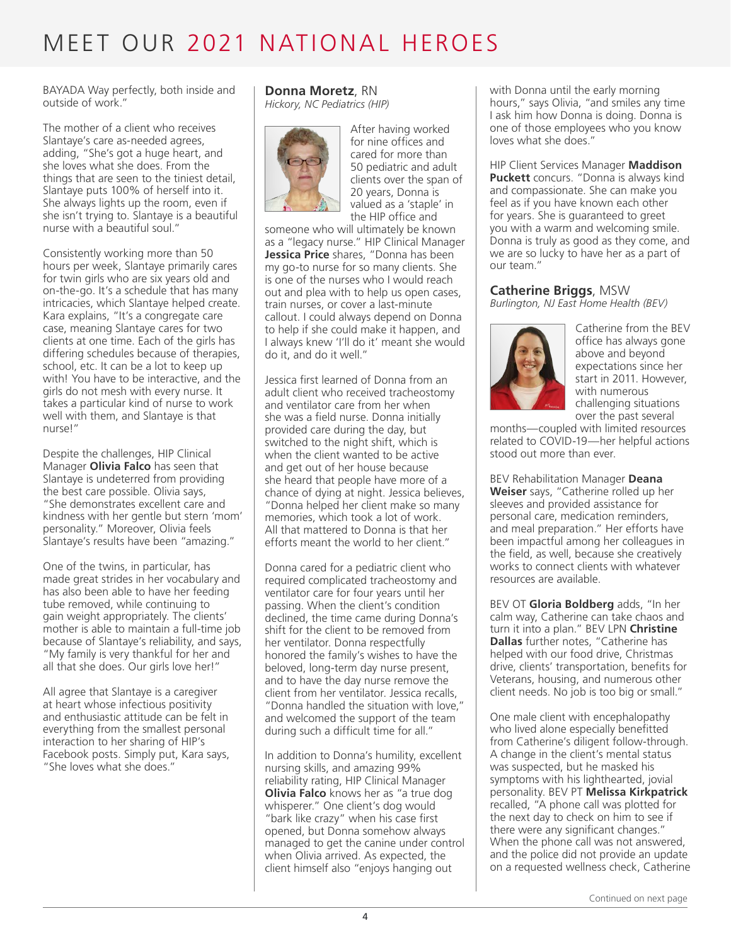BAYADA Way perfectly, both inside and outside of work."

The mother of a client who receives Slantaye's care as-needed agrees, adding, "She's got a huge heart, and she loves what she does. From the things that are seen to the tiniest detail, Slantaye puts 100% of herself into it. She always lights up the room, even if she isn't trying to. Slantaye is a beautiful nurse with a beautiful soul."

Consistently working more than 50 hours per week, Slantaye primarily cares for twin girls who are six years old and on-the-go. It's a schedule that has many intricacies, which Slantaye helped create. Kara explains, "It's a congregate care case, meaning Slantaye cares for two clients at one time. Each of the girls has differing schedules because of therapies, school, etc. It can be a lot to keep up with! You have to be interactive, and the girls do not mesh with every nurse. It takes a particular kind of nurse to work well with them, and Slantaye is that nurse!"

Despite the challenges, HIP Clinical Manager **Olivia Falco** has seen that Slantaye is undeterred from providing the best care possible. Olivia says, "She demonstrates excellent care and kindness with her gentle but stern 'mom' personality." Moreover, Olivia feels Slantaye's results have been "amazing."

One of the twins, in particular, has made great strides in her vocabulary and has also been able to have her feeding tube removed, while continuing to gain weight appropriately. The clients' mother is able to maintain a full-time job because of Slantaye's reliability, and says, "My family is very thankful for her and all that she does. Our girls love her!"

All agree that Slantaye is a caregiver at heart whose infectious positivity and enthusiastic attitude can be felt in everything from the smallest personal interaction to her sharing of HIP's Facebook posts. Simply put, Kara says, "She loves what she does."

#### **Donna Moretz**, RN *Hickory, NC Pediatrics (HIP)*



After having worked for nine offices and cared for more than 50 pediatric and adult clients over the span of 20 years, Donna is valued as a 'staple' in the HIP office and

someone who will ultimately be known as a "legacy nurse." HIP Clinical Manager **Jessica Price** shares, "Donna has been my go-to nurse for so many clients. She is one of the nurses who I would reach out and plea with to help us open cases, train nurses, or cover a last-minute callout. I could always depend on Donna to help if she could make it happen, and I always knew 'I'll do it' meant she would do it, and do it well."

Jessica first learned of Donna from an adult client who received tracheostomy and ventilator care from her when she was a field nurse. Donna initially provided care during the day, but switched to the night shift, which is when the client wanted to be active and get out of her house because she heard that people have more of a chance of dying at night. Jessica believes, "Donna helped her client make so many memories, which took a lot of work. All that mattered to Donna is that her efforts meant the world to her client."

Donna cared for a pediatric client who required complicated tracheostomy and ventilator care for four years until her passing. When the client's condition declined, the time came during Donna's shift for the client to be removed from her ventilator. Donna respectfully honored the family's wishes to have the beloved, long-term day nurse present, and to have the day nurse remove the client from her ventilator. Jessica recalls, "Donna handled the situation with love," and welcomed the support of the team during such a difficult time for all."

In addition to Donna's humility, excellent nursing skills, and amazing 99% reliability rating, HIP Clinical Manager **Olivia Falco** knows her as "a true dog whisperer." One client's dog would "bark like crazy" when his case first opened, but Donna somehow always managed to get the canine under control when Olivia arrived. As expected, the client himself also "enjoys hanging out

with Donna until the early morning hours," says Olivia, "and smiles any time I ask him how Donna is doing. Donna is one of those employees who you know loves what she does."

HIP Client Services Manager **Maddison Puckett** concurs. "Donna is always kind and compassionate. She can make you feel as if you have known each other for years. She is guaranteed to greet you with a warm and welcoming smile. Donna is truly as good as they come, and we are so lucky to have her as a part of our team."

#### **Catherine Briggs**, MSW

*Burlington, NJ East Home Health (BEV)*



Catherine from the BEV office has always gone above and beyond expectations since her start in 2011. However, with numerous challenging situations over the past several

months—coupled with limited resources related to COVID-19—her helpful actions stood out more than ever.

BEV Rehabilitation Manager **Deana Weiser** says, "Catherine rolled up her sleeves and provided assistance for personal care, medication reminders, and meal preparation." Her efforts have been impactful among her colleagues in the field, as well, because she creatively works to connect clients with whatever resources are available.

BEV OT **Gloria Boldberg** adds, "In her calm way, Catherine can take chaos and turn it into a plan." BEV LPN **Christine Dallas** further notes, "Catherine has helped with our food drive, Christmas drive, clients' transportation, benefits for Veterans, housing, and numerous other client needs. No job is too big or small."

One male client with encephalopathy who lived alone especially benefitted from Catherine's diligent follow-through. A change in the client's mental status was suspected, but he masked his symptoms with his lighthearted, jovial personality. BEV PT **Melissa Kirkpatrick** recalled, "A phone call was plotted for the next day to check on him to see if there were any significant changes." When the phone call was not answered, and the police did not provide an update on a requested wellness check, Catherine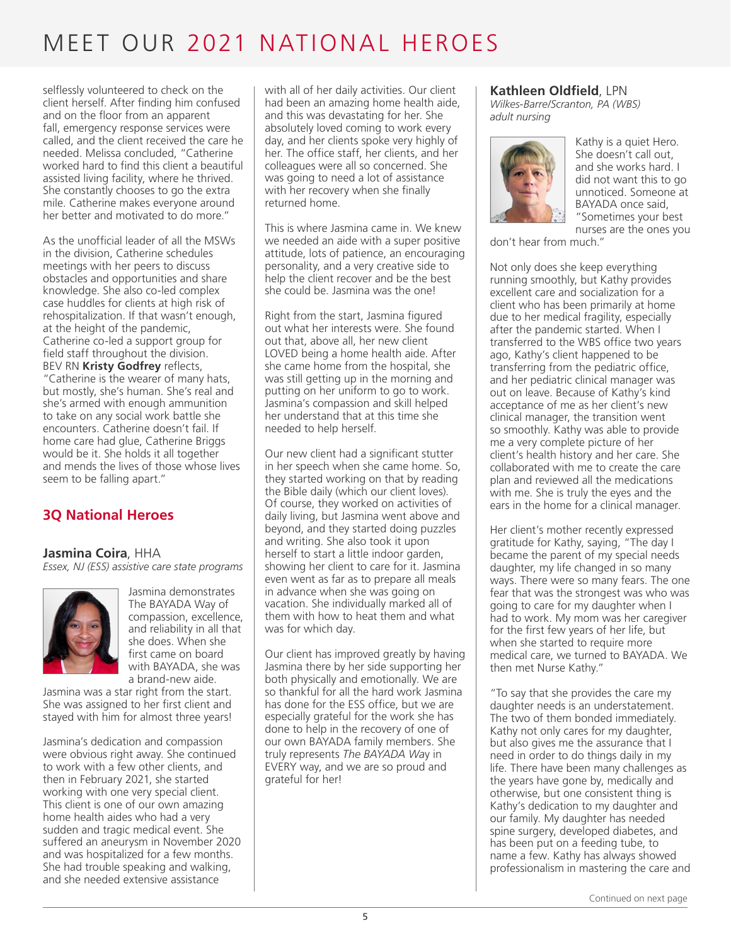selflessly volunteered to check on the client herself. After finding him confused and on the floor from an apparent fall, emergency response services were called, and the client received the care he needed. Melissa concluded, "Catherine worked hard to find this client a beautiful assisted living facility, where he thrived. She constantly chooses to go the extra mile. Catherine makes everyone around her better and motivated to do more."

As the unofficial leader of all the MSWs in the division, Catherine schedules meetings with her peers to discuss obstacles and opportunities and share knowledge. She also co-led complex case huddles for clients at high risk of rehospitalization. If that wasn't enough, at the height of the pandemic, Catherine co-led a support group for field staff throughout the division. BEV RN **Kristy Godfrey** reflects, "Catherine is the wearer of many hats, but mostly, she's human. She's real and she's armed with enough ammunition to take on any social work battle she encounters. Catherine doesn't fail. If home care had glue, Catherine Briggs would be it. She holds it all together and mends the lives of those whose lives seem to be falling apart."

### **3Q National Heroes**

**Jasmina Coira**, HHA *Essex, NJ (ESS) assistive care state programs*



Jasmina demonstrates The BAYADA Way of compassion, excellence, and reliability in all that she does. When she first came on board with BAYADA, she was a brand-new aide.

Jasmina was a star right from the start. She was assigned to her first client and stayed with him for almost three years!

Jasmina's dedication and compassion were obvious right away. She continued to work with a few other clients, and then in February 2021, she started working with one very special client. This client is one of our own amazing home health aides who had a very sudden and tragic medical event. She suffered an aneurysm in November 2020 and was hospitalized for a few months. She had trouble speaking and walking, and she needed extensive assistance

with all of her daily activities. Our client had been an amazing home health aide, and this was devastating for her. She absolutely loved coming to work every day, and her clients spoke very highly of her. The office staff, her clients, and her colleagues were all so concerned. She was going to need a lot of assistance with her recovery when she finally returned home.

This is where Jasmina came in. We knew we needed an aide with a super positive attitude, lots of patience, an encouraging personality, and a very creative side to help the client recover and be the best she could be. Jasmina was the one!

Right from the start, Jasmina figured out what her interests were. She found out that, above all, her new client LOVED being a home health aide. After she came home from the hospital, she was still getting up in the morning and putting on her uniform to go to work. Jasmina's compassion and skill helped her understand that at this time she needed to help herself.

Our new client had a significant stutter in her speech when she came home. So, they started working on that by reading the Bible daily (which our client loves). Of course, they worked on activities of daily living, but Jasmina went above and beyond, and they started doing puzzles and writing. She also took it upon herself to start a little indoor garden, showing her client to care for it. Jasmina even went as far as to prepare all meals in advance when she was going on vacation. She individually marked all of them with how to heat them and what was for which day.

Our client has improved greatly by having Jasmina there by her side supporting her both physically and emotionally. We are so thankful for all the hard work Jasmina has done for the ESS office, but we are especially grateful for the work she has done to help in the recovery of one of our own BAYADA family members. She truly represents *The BAYADA Wa*y in EVERY way, and we are so proud and grateful for her!

#### **Kathleen Oldfield**, LPN

*Wilkes-Barre/Scranton, PA (WBS) adult nursing*



Kathy is a quiet Hero. She doesn't call out, and she works hard. I did not want this to go unnoticed. Someone at BAYADA once said, "Sometimes your best nurses are the ones you

don't hear from much."

Not only does she keep everything running smoothly, but Kathy provides excellent care and socialization for a client who has been primarily at home due to her medical fragility, especially after the pandemic started. When I transferred to the WBS office two years ago, Kathy's client happened to be transferring from the pediatric office, and her pediatric clinical manager was out on leave. Because of Kathy's kind acceptance of me as her client's new clinical manager, the transition went so smoothly. Kathy was able to provide me a very complete picture of her client's health history and her care. She collaborated with me to create the care plan and reviewed all the medications with me. She is truly the eyes and the ears in the home for a clinical manager.

Her client's mother recently expressed gratitude for Kathy, saying, "The day I became the parent of my special needs daughter, my life changed in so many ways. There were so many fears. The one fear that was the strongest was who was going to care for my daughter when I had to work. My mom was her caregiver for the first few years of her life, but when she started to require more medical care, we turned to BAYADA. We then met Nurse Kathy."

"To say that she provides the care my daughter needs is an understatement. The two of them bonded immediately. Kathy not only cares for my daughter, but also gives me the assurance that I need in order to do things daily in my life. There have been many challenges as the years have gone by, medically and otherwise, but one consistent thing is Kathy's dedication to my daughter and our family. My daughter has needed spine surgery, developed diabetes, and has been put on a feeding tube, to name a few. Kathy has always showed professionalism in mastering the care and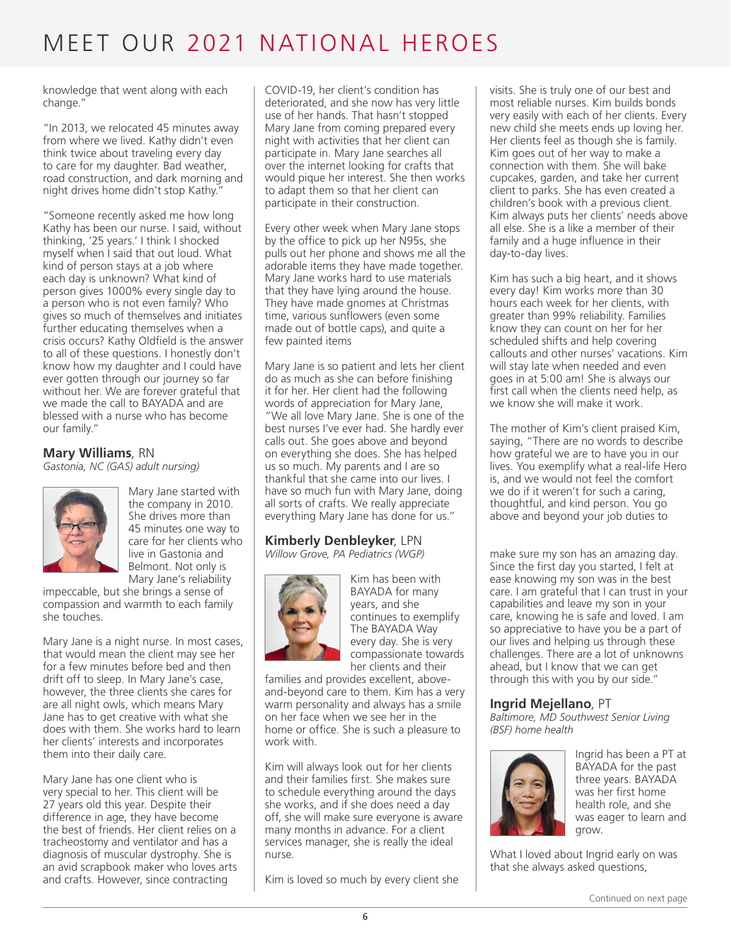knowledge that went along with each change."

"In 2013, we relocated 45 minutes away from where we lived. Kathy didn't even think twice about traveling every day to care for my daughter. Bad weather, road construction, and dark morning and night drives home didn't stop Kathy."

"Someone recently asked me how long Kathy has been our nurse. I said, without thinking, '25 years.' I think I shocked myself when I said that out loud. What kind of person stays at a job where each day is unknown? What kind of person gives 1000% every single day to a person who is not even family? Who gives so much of themselves and initiates further educating themselves when a crisis occurs? Kathy Oldfield is the answer to all of these questions. I honestly don't know how my daughter and I could have ever gotten through our journey so far without her. We are forever grateful that we made the call to BAYADA and are blessed with a nurse who has become our family."

### **Mary Williams**, RN

*Gastonia, NC (GAS) adult nursing)*



Mary Jane started with the company in 2010. She drives more than 45 minutes one way to care for her clients who live in Gastonia and Belmont. Not only is Mary Jane's reliability

impeccable, but she brings a sense of compassion and warmth to each family she touches.

Mary Jane is a night nurse. In most cases, that would mean the client may see her for a few minutes before bed and then drift off to sleep. In Mary Jane's case, however, the three clients she cares for are all night owls, which means Mary Jane has to get creative with what she does with them. She works hard to learn her clients' interests and incorporates them into their daily care.

Mary Jane has one client who is very special to her. This client will be 27 years old this year. Despite their difference in age, they have become the best of friends. Her client relies on a tracheostomy and ventilator and has a diagnosis of muscular dystrophy. She is an avid scrapbook maker who loves arts and crafts. However, since contracting

COVID-19, her client's condition has deteriorated, and she now has very little use of her hands. That hasn't stopped Mary Jane from coming prepared every night with activities that her client can participate in. Mary Jane searches all over the internet looking for crafts that would pique her interest. She then works to adapt them so that her client can participate in their construction.

Every other week when Mary Jane stops by the office to pick up her N95s, she pulls out her phone and shows me all the adorable items they have made together. Mary Jane works hard to use materials that they have lying around the house. They have made gnomes at Christmas time, various sunflowers (even some made out of bottle caps), and quite a few painted items

Mary Jane is so patient and lets her client do as much as she can before finishing it for her. Her client had the following words of appreciation for Mary Jane, "We all love Mary Jane. She is one of the best nurses I've ever had. She hardly ever calls out. She goes above and beyond on everything she does. She has helped us so much. My parents and I are so thankful that she came into our lives. I have so much fun with Mary Jane, doing all sorts of crafts. We really appreciate everything Mary Jane has done for us."

#### **Kimberly Denbleyker**, LPN *Willow Grove, PA Pediatrics (WGP)*



Kim has been with BAYADA for many years, and she continues to exemplify The BAYADA Way every day. She is very compassionate towards her clients and their

families and provides excellent, aboveand-beyond care to them. Kim has a very warm personality and always has a smile on her face when we see her in the home or office. She is such a pleasure to work with.

Kim will always look out for her clients and their families first. She makes sure to schedule everything around the days she works, and if she does need a day off, she will make sure everyone is aware many months in advance. For a client services manager, she is really the ideal nurse.

Kim is loved so much by every client she

visits. She is truly one of our best and most reliable nurses. Kim builds bonds very easily with each of her clients. Every new child she meets ends up loving her. Her clients feel as though she is family. Kim goes out of her way to make a connection with them. She will bake cupcakes, garden, and take her current client to parks. She has even created a children's book with a previous client. Kim always puts her clients' needs above all else. She is a like a member of their family and a huge influence in their day-to-day lives.

Kim has such a big heart, and it shows every day! Kim works more than 30 hours each week for her clients, with greater than 99% reliability. Families know they can count on her for her scheduled shifts and help covering callouts and other nurses' vacations. Kim will stay late when needed and even goes in at 5:00 am! She is always our first call when the clients need help, as we know she will make it work.

The mother of Kim's client praised Kim, saying, "There are no words to describe how grateful we are to have you in our lives. You exemplify what a real-life Hero is, and we would not feel the comfort we do if it weren't for such a caring, thoughtful, and kind person. You go above and beyond your job duties to

make sure my son has an amazing day. Since the first day you started, I felt at ease knowing my son was in the best care. I am grateful that I can trust in your capabilities and leave my son in your care, knowing he is safe and loved. I am so appreciative to have you be a part of our lives and helping us through these challenges. There are a lot of unknowns ahead, but I know that we can get through this with you by our side."

#### **Ingrid Mejellano**, PT

*Baltimore, MD Southwest Senior Living (BSF) home health* 



Ingrid has been a PT at BAYADA for the past three years. BAYADA was her first home health role, and she was eager to learn and grow.

What I loved about Ingrid early on was that she always asked questions,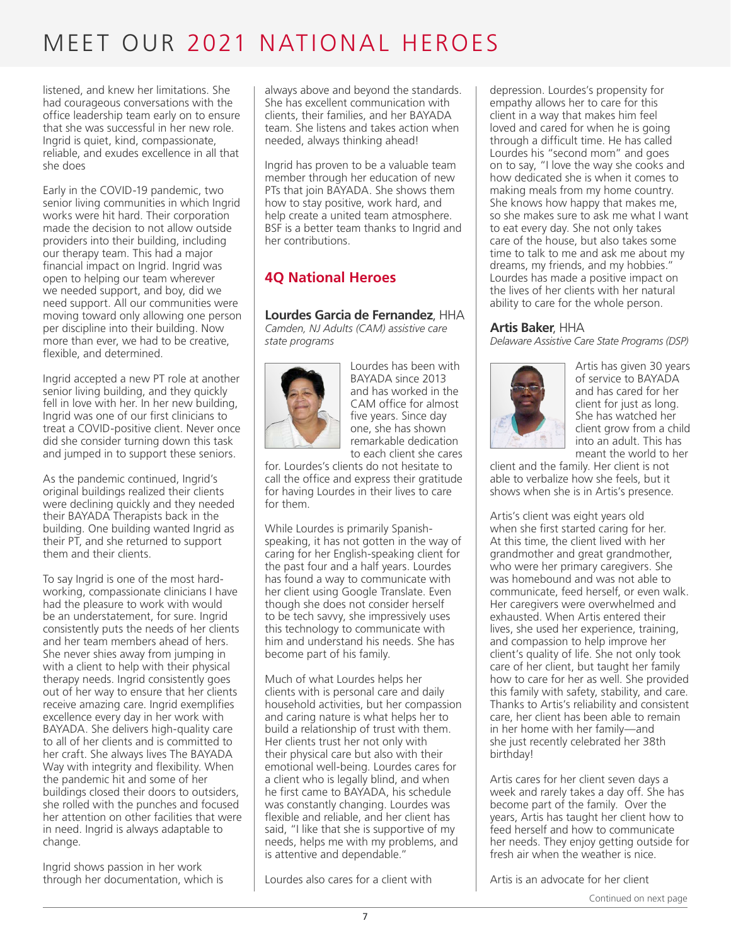listened, and knew her limitations. She had courageous conversations with the office leadership team early on to ensure that she was successful in her new role. Ingrid is quiet, kind, compassionate, reliable, and exudes excellence in all that she does

Early in the COVID-19 pandemic, two senior living communities in which Ingrid works were hit hard. Their corporation made the decision to not allow outside providers into their building, including our therapy team. This had a major financial impact on Ingrid. Ingrid was open to helping our team wherever we needed support, and boy, did we need support. All our communities were moving toward only allowing one person per discipline into their building. Now more than ever, we had to be creative, flexible, and determined.

Ingrid accepted a new PT role at another senior living building, and they quickly fell in love with her. In her new building, Ingrid was one of our first clinicians to treat a COVID-positive client. Never once did she consider turning down this task and jumped in to support these seniors.

As the pandemic continued, Ingrid's original buildings realized their clients were declining quickly and they needed their BAYADA Therapists back in the building. One building wanted Ingrid as their PT, and she returned to support them and their clients.

To say Ingrid is one of the most hardworking, compassionate clinicians I have had the pleasure to work with would be an understatement, for sure. Ingrid consistently puts the needs of her clients and her team members ahead of hers. She never shies away from jumping in with a client to help with their physical therapy needs. Ingrid consistently goes out of her way to ensure that her clients receive amazing care. Ingrid exemplifies excellence every day in her work with BAYADA. She delivers high-quality care to all of her clients and is committed to her craft. She always lives The BAYADA Way with integrity and flexibility. When the pandemic hit and some of her buildings closed their doors to outsiders, she rolled with the punches and focused her attention on other facilities that were in need. Ingrid is always adaptable to change.

Ingrid shows passion in her work through her documentation, which is always above and beyond the standards. She has excellent communication with clients, their families, and her BAYADA team. She listens and takes action when needed, always thinking ahead!

Ingrid has proven to be a valuable team member through her education of new PTs that join BAYADA. She shows them how to stay positive, work hard, and help create a united team atmosphere. BSF is a better team thanks to Ingrid and her contributions.

### **4Q National Heroes**

#### **Lourdes Garcia de Fernandez**, HHA

*Camden, NJ Adults (CAM) assistive care state programs*



Lourdes has been with BAYADA since 2013 and has worked in the CAM office for almost five years. Since day one, she has shown remarkable dedication to each client she cares

for. Lourdes's clients do not hesitate to call the office and express their gratitude for having Lourdes in their lives to care for them.

While Lourdes is primarily Spanishspeaking, it has not gotten in the way of caring for her English-speaking client for the past four and a half years. Lourdes has found a way to communicate with her client using Google Translate. Even though she does not consider herself to be tech savvy, she impressively uses this technology to communicate with him and understand his needs. She has become part of his family.

Much of what Lourdes helps her clients with is personal care and daily household activities, but her compassion and caring nature is what helps her to build a relationship of trust with them. Her clients trust her not only with their physical care but also with their emotional well-being. Lourdes cares for a client who is legally blind, and when he first came to BAYADA, his schedule was constantly changing. Lourdes was flexible and reliable, and her client has said, "I like that she is supportive of my needs, helps me with my problems, and is attentive and dependable."

Lourdes also cares for a client with

depression. Lourdes's propensity for empathy allows her to care for this client in a way that makes him feel loved and cared for when he is going through a difficult time. He has called Lourdes his "second mom" and goes on to say, "I love the way she cooks and how dedicated she is when it comes to making meals from my home country. She knows how happy that makes me, so she makes sure to ask me what I want to eat every day. She not only takes care of the house, but also takes some time to talk to me and ask me about my dreams, my friends, and my hobbies." Lourdes has made a positive impact on the lives of her clients with her natural ability to care for the whole person.

#### **Artis Baker**, HHA

*Delaware Assistive Care State Programs (DSP)*



Artis has given 30 years of service to BAYADA and has cared for her client for just as long. She has watched her client grow from a child into an adult. This has meant the world to her

client and the family. Her client is not able to verbalize how she feels, but it shows when she is in Artis's presence.

Artis's client was eight years old when she first started caring for her. At this time, the client lived with her grandmother and great grandmother, who were her primary caregivers. She was homebound and was not able to communicate, feed herself, or even walk. Her caregivers were overwhelmed and exhausted. When Artis entered their lives, she used her experience, training, and compassion to help improve her client's quality of life. She not only took care of her client, but taught her family how to care for her as well. She provided this family with safety, stability, and care. Thanks to Artis's reliability and consistent care, her client has been able to remain in her home with her family—and she just recently celebrated her 38th birthday!

Artis cares for her client seven days a week and rarely takes a day off. She has become part of the family. Over the years, Artis has taught her client how to feed herself and how to communicate her needs. They enjoy getting outside for fresh air when the weather is nice.

Artis is an advocate for her client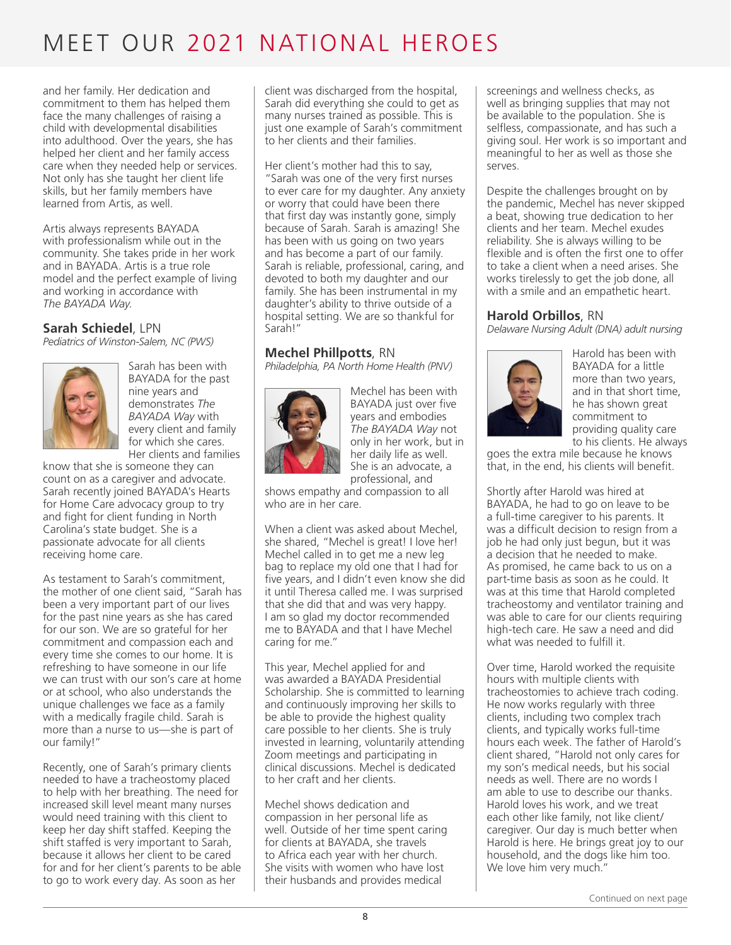and her family. Her dedication and commitment to them has helped them face the many challenges of raising a child with developmental disabilities into adulthood. Over the years, she has helped her client and her family access care when they needed help or services. Not only has she taught her client life skills, but her family members have learned from Artis, as well.

Artis always represents BAYADA with professionalism while out in the community. She takes pride in her work and in BAYADA. Artis is a true role model and the perfect example of living and working in accordance with *The BAYADA Way*.

#### **Sarah Schiedel**, LPN

*Pediatrics of Winston-Salem, NC (PWS)*



Sarah has been with BAYADA for the past nine years and demonstrates *The BAYADA Way* with every client and family for which she cares. Her clients and families

know that she is someone they can count on as a caregiver and advocate. Sarah recently joined BAYADA's Hearts for Home Care advocacy group to try and fight for client funding in North Carolina's state budget. She is a passionate advocate for all clients receiving home care.

As testament to Sarah's commitment, the mother of one client said, "Sarah has been a very important part of our lives for the past nine years as she has cared for our son. We are so grateful for her commitment and compassion each and every time she comes to our home. It is refreshing to have someone in our life we can trust with our son's care at home or at school, who also understands the unique challenges we face as a family with a medically fragile child. Sarah is more than a nurse to us—she is part of our family!"

Recently, one of Sarah's primary clients needed to have a tracheostomy placed to help with her breathing. The need for increased skill level meant many nurses would need training with this client to keep her day shift staffed. Keeping the shift staffed is very important to Sarah, because it allows her client to be cared for and for her client's parents to be able to go to work every day. As soon as her

client was discharged from the hospital, Sarah did everything she could to get as many nurses trained as possible. This is just one example of Sarah's commitment to her clients and their families.

Her client's mother had this to say, "Sarah was one of the very first nurses to ever care for my daughter. Any anxiety or worry that could have been there that first day was instantly gone, simply because of Sarah. Sarah is amazing! She has been with us going on two years and has become a part of our family. Sarah is reliable, professional, caring, and devoted to both my daughter and our family. She has been instrumental in my daughter's ability to thrive outside of a hospital setting. We are so thankful for Sarah!"

#### **Mechel Phillpotts**, RN

*Philadelphia, PA North Home Health (PNV)*



Mechel has been with BAYADA just over five years and embodies *The BAYADA Way* not only in her work, but in her daily life as well. She is an advocate, a professional, and

shows empathy and compassion to all who are in her care.

When a client was asked about Mechel. she shared, "Mechel is great! I love her! Mechel called in to get me a new leg bag to replace my old one that I had for five years, and I didn't even know she did it until Theresa called me. I was surprised that she did that and was very happy. I am so glad my doctor recommended me to BAYADA and that I have Mechel caring for me."

This year, Mechel applied for and was awarded a BAYADA Presidential Scholarship. She is committed to learning and continuously improving her skills to be able to provide the highest quality care possible to her clients. She is truly invested in learning, voluntarily attending Zoom meetings and participating in clinical discussions. Mechel is dedicated to her craft and her clients.

Mechel shows dedication and compassion in her personal life as well. Outside of her time spent caring for clients at BAYADA, she travels to Africa each year with her church. She visits with women who have lost their husbands and provides medical

screenings and wellness checks, as well as bringing supplies that may not be available to the population. She is selfless, compassionate, and has such a giving soul. Her work is so important and meaningful to her as well as those she serves.

Despite the challenges brought on by the pandemic, Mechel has never skipped a beat, showing true dedication to her clients and her team. Mechel exudes reliability. She is always willing to be flexible and is often the first one to offer to take a client when a need arises. She works tirelessly to get the job done, all with a smile and an empathetic heart.

#### **Harold Orbillos**, RN

*Delaware Nursing Adult (DNA) adult nursing*



Harold has been with BAYADA for a little more than two years, and in that short time, he has shown great commitment to providing quality care to his clients. He always

goes the extra mile because he knows that, in the end, his clients will benefit.

Shortly after Harold was hired at BAYADA, he had to go on leave to be a full-time caregiver to his parents. It was a difficult decision to resign from a job he had only just begun, but it was a decision that he needed to make. As promised, he came back to us on a part-time basis as soon as he could. It was at this time that Harold completed tracheostomy and ventilator training and was able to care for our clients requiring high-tech care. He saw a need and did what was needed to fulfill it.

Over time, Harold worked the requisite hours with multiple clients with tracheostomies to achieve trach coding. He now works regularly with three clients, including two complex trach clients, and typically works full-time hours each week. The father of Harold's client shared, "Harold not only cares for my son's medical needs, but his social needs as well. There are no words I am able to use to describe our thanks. Harold loves his work, and we treat each other like family, not like client/ caregiver. Our day is much better when Harold is here. He brings great joy to our household, and the dogs like him too. We love him very much."